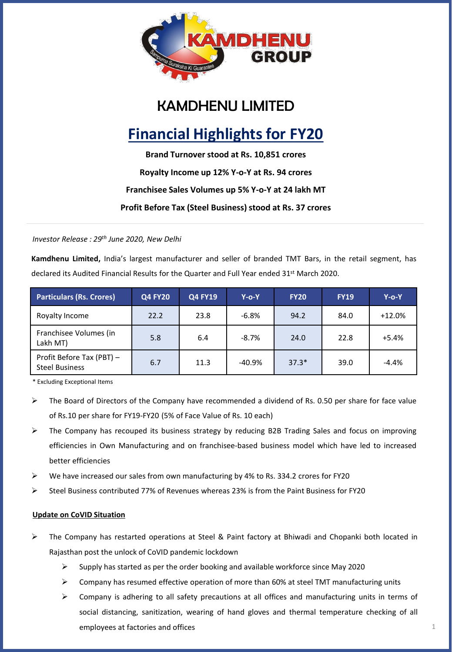

## KAMDHENU LIMITED

# **Financial Highlights for FY20**

**Brand Turnover stood at Rs. 10,851 crores Royalty Income up 12% Y-o-Y at Rs. 94 crores Franchisee Sales Volumes up 5% Y-o-Y at 24 lakh MT**

**Profit Before Tax (Steel Business) stood at Rs. 37 crores**

*Investor Release : 29th June 2020, New Delhi*

**Kamdhenu Limited,** India's largest manufacturer and seller of branded TMT Bars, in the retail segment, has declared its Audited Financial Results for the Quarter and Full Year ended 31<sup>st</sup> March 2020.

| <b>Particulars (Rs. Crores)</b>                    | <b>Q4 FY20</b> | <b>Q4 FY19</b> | $Y$ -o-Y | <b>FY20</b> | <b>FY19</b> | $Y$ -o-Y |
|----------------------------------------------------|----------------|----------------|----------|-------------|-------------|----------|
| Royalty Income                                     | 22.2           | 23.8           | $-6.8%$  | 94.2        | 84.0        | $+12.0%$ |
| Franchisee Volumes (in<br>Lakh MT)                 | 5.8            | 6.4            | $-8.7%$  | 24.0        | 22.8        | $+5.4%$  |
| Profit Before Tax (PBT) -<br><b>Steel Business</b> | 6.7            | 11.3           | $-40.9%$ | $37.3*$     | 39.0        | $-4.4%$  |

\* Excluding Exceptional Items

- $\triangleright$  The Board of Directors of the Company have recommended a dividend of Rs. 0.50 per share for face value of Rs.10 per share for FY19-FY20 (5% of Face Value of Rs. 10 each)
- ➢ The Company has recouped its business strategy by reducing B2B Trading Sales and focus on improving efficiencies in Own Manufacturing and on franchisee-based business model which have led to increased better efficiencies
- ➢ We have increased our sales from own manufacturing by 4% to Rs. 334.2 crores for FY20
- $\triangleright$  Steel Business contributed 77% of Revenues whereas 23% is from the Paint Business for FY20

#### **Update on CoVID Situation**

- ➢ The Company has restarted operations at Steel & Paint factory at Bhiwadi and Chopanki both located in Rajasthan post the unlock of CoVID pandemic lockdown
	- $\triangleright$  Supply has started as per the order booking and available workforce since May 2020
	- ➢ Company has resumed effective operation of more than 60% at steel TMT manufacturing units
	- ➢ Company is adhering to all safety precautions at all offices and manufacturing units in terms of social distancing, sanitization, wearing of hand gloves and thermal temperature checking of all employees at factories and offices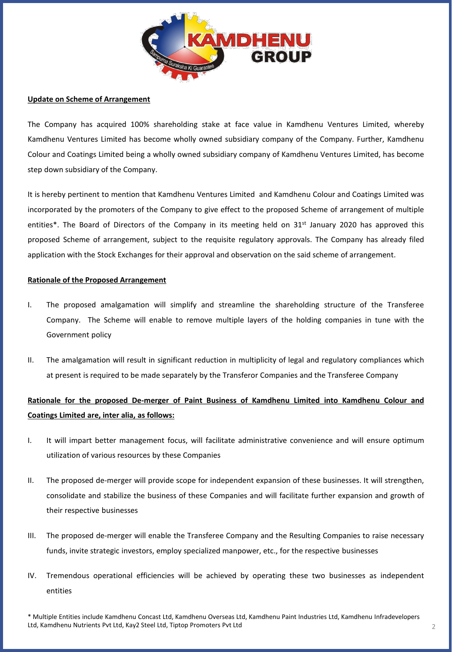

#### **Update on Scheme of Arrangement**

The Company has acquired 100% shareholding stake at face value in Kamdhenu Ventures Limited, whereby Kamdhenu Ventures Limited has become wholly owned subsidiary company of the Company. Further, Kamdhenu Colour and Coatings Limited being a wholly owned subsidiary company of Kamdhenu Ventures Limited, has become step down subsidiary of the Company.

It is hereby pertinent to mention that Kamdhenu Ventures Limited and Kamdhenu Colour and Coatings Limited was incorporated by the promoters of the Company to give effect to the proposed Scheme of arrangement of multiple entities\*. The Board of Directors of the Company in its meeting held on  $31^{st}$  January 2020 has approved this proposed Scheme of arrangement, subject to the requisite regulatory approvals. The Company has already filed application with the Stock Exchanges for their approval and observation on the said scheme of arrangement.

#### **Rationale of the Proposed Arrangement**

- I. The proposed amalgamation will simplify and streamline the shareholding structure of the Transferee Company. The Scheme will enable to remove multiple layers of the holding companies in tune with the Government policy
- II. The amalgamation will result in significant reduction in multiplicity of legal and regulatory compliances which at present is required to be made separately by the Transferor Companies and the Transferee Company

## **Rationale for the proposed De-merger of Paint Business of Kamdhenu Limited into Kamdhenu Colour and Coatings Limited are, inter alia, as follows:**

- I. It will impart better management focus, will facilitate administrative convenience and will ensure optimum utilization of various resources by these Companies
- II. The proposed de-merger will provide scope for independent expansion of these businesses. It will strengthen, consolidate and stabilize the business of these Companies and will facilitate further expansion and growth of their respective businesses
- III. The proposed de-merger will enable the Transferee Company and the Resulting Companies to raise necessary funds, invite strategic investors, employ specialized manpower, etc., for the respective businesses
- IV. Tremendous operational efficiencies will be achieved by operating these two businesses as independent entities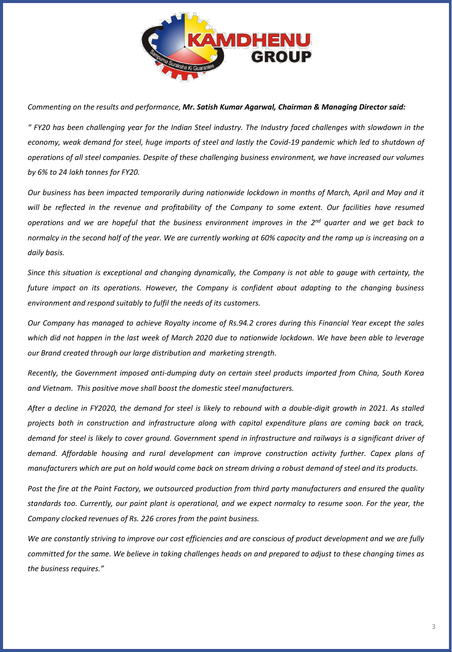

*Commenting on the results and performance, Mr. Satish Kumar Agarwal, Chairman & Managing Director said:*

" FY20 has been challenging year for the Indian Steel industry. The Industry faced challenges with slowdown in the economy, weak demand for steel, huge imports of steel and lastly the Covid-19 pandemic which led to shutdown of operations of all steel companies. Despite of these challenging business environment, we have increased our volumes *by 6% to 24 lakh tonnes for FY20.*

Our business has been impacted temporarily during nationwide lockdown in months of March, April and May and it will be reflected in the revenue and profitability of the Company to some extent. Our facilities have resumed operations and we are hopeful that the business environment improves in the 2<sup>nd</sup> quarter and we get back to normalcy in the second half of the year. We are currently working at 60% capacity and the ramp up is increasing on a *daily basis.*

Since this situation is exceptional and changing dynamically, the Company is not able to gauge with certainty, the *future impact on its operations. However, the Company is confident about adapting to the changing business environment and respond suitably to fulfil the needs of its customers.*

Our Company has managed to achieve Royalty income of Rs.94.2 crores during this Financial Year except the sales which did not happen in the last week of March 2020 due to nationwide lockdown. We have been able to leverage *our Brand created through our large distribution and marketing strength.*

*Recently, the Government imposed anti-dumping duty on certain steel products imported from China, South Korea and Vietnam. This positive move shall boost the domestic steel manufacturers.*

After a decline in FY2020, the demand for steel is likely to rebound with a double-digit arowth in 2021. As stalled *projects both in construction and infrastructure along with capital expenditure plans are coming back on track,* demand for steel is likely to cover around. Government spend in infrastructure and railways is a significant driver of *demand. Affordable housing and rural development can improve construction activity further. Capex plans of* manufacturers which are put on hold would come back on stream driving a robust demand of steel and its products.

Post the fire at the Paint Factory, we outsourced production from third party manufacturers and ensured the quality standards too. Currently, our paint plant is operational, and we expect normalcy to resume soon. For the year, the *Company clocked revenues of Rs. 226 crores from the paint business.*

We are constantly striving to improve our cost efficiencies and are conscious of product development and we are fully committed for the same. We believe in taking challenges heads on and prepared to adjust to these changing times as *the business requires."*